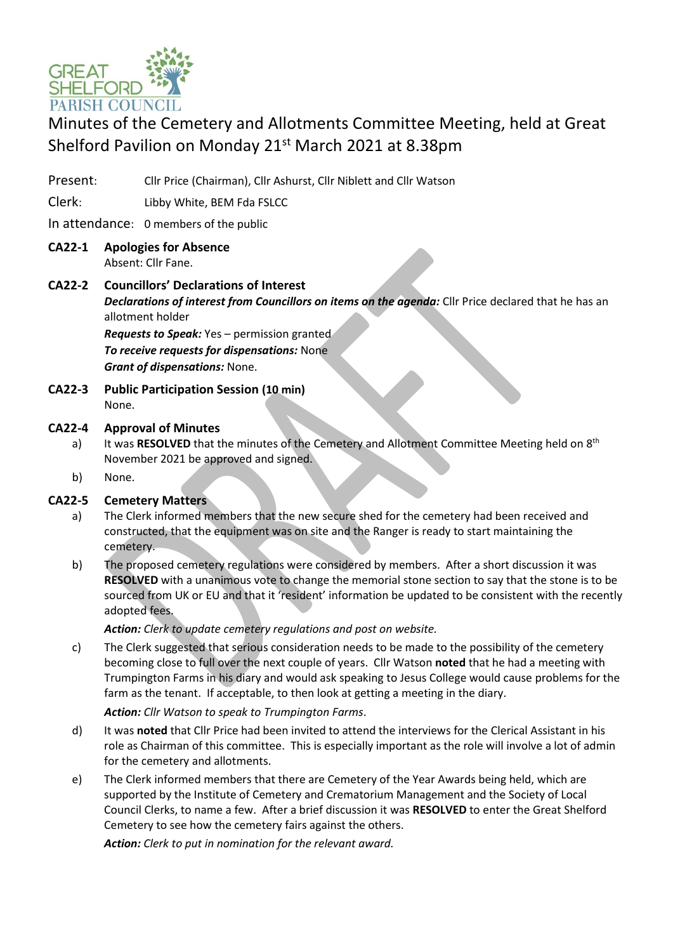

# Minutes of the Cemetery and Allotments Committee Meeting, held at Great Shelford Pavilion on Monday 21<sup>st</sup> March 2021 at 8.38pm

Present: Cllr Price (Chairman), Cllr Ashurst, Cllr Niblett and Cllr Watson

Clerk: Libby White, BEM Fda FSLCC

In attendance: 0 members of the public

**CA22-1 Apologies for Absence** Absent: Cllr Fane.

## **CA22-2 Councillors' Declarations of Interest** *Declarations of interest from Councillors on items on the agenda:* Cllr Price declared that he has an allotment holder

*Requests to Speak:* Yes – permission granted *To receive requests for dispensations:* None *Grant of dispensations:* None.

**CA22-3 Public Participation Session (10 min)** None.

### **CA22-4 Approval of Minutes**

- a) It was RESOLVED that the minutes of the Cemetery and Allotment Committee Meeting held on 8<sup>th</sup> November 2021 be approved and signed.
- b) None.

#### **CA22-5 Cemetery Matters**

- a) The Clerk informed members that the new secure shed for the cemetery had been received and constructed, that the equipment was on site and the Ranger is ready to start maintaining the cemetery.
- b) The proposed cemetery regulations were considered by members. After a short discussion it was **RESOLVED** with a unanimous vote to change the memorial stone section to say that the stone is to be sourced from UK or EU and that it 'resident' information be updated to be consistent with the recently adopted fees.

#### *Action: Clerk to update cemetery regulations and post on website.*

c) The Clerk suggested that serious consideration needs to be made to the possibility of the cemetery becoming close to full over the next couple of years. Cllr Watson **noted** that he had a meeting with Trumpington Farms in his diary and would ask speaking to Jesus College would cause problems for the farm as the tenant. If acceptable, to then look at getting a meeting in the diary.

*Action: Cllr Watson to speak to Trumpington Farms*.

- d) It was **noted** that Cllr Price had been invited to attend the interviews for the Clerical Assistant in his role as Chairman of this committee. This is especially important as the role will involve a lot of admin for the cemetery and allotments.
- e) The Clerk informed members that there are Cemetery of the Year Awards being held, which are supported by the Institute of Cemetery and Crematorium Management and the Society of Local Council Clerks, to name a few. After a brief discussion it was **RESOLVED** to enter the Great Shelford Cemetery to see how the cemetery fairs against the others.

*Action: Clerk to put in nomination for the relevant award.*